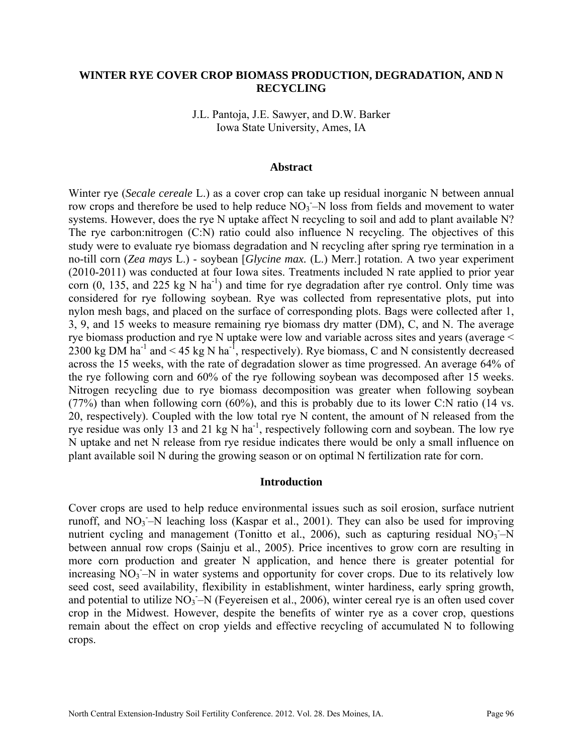## **WINTER RYE COVER CROP BIOMASS PRODUCTION, DEGRADATION, AND N RECYCLING**

J.L. Pantoja, J.E. Sawyer, and D.W. Barker Iowa State University, Ames, IA

### **Abstract**

Winter rye (*Secale cereale* L.) as a cover crop can take up residual inorganic N between annual row crops and therefore be used to help reduce  $NO<sub>3</sub> - N$  loss from fields and movement to water systems. However, does the rye N uptake affect N recycling to soil and add to plant available N? The rye carbon:nitrogen (C:N) ratio could also influence N recycling. The objectives of this study were to evaluate rye biomass degradation and N recycling after spring rye termination in a no-till corn (*Zea mays* L.) - soybean [*Glycine max.* (L.) Merr.] rotation. A two year experiment (2010-2011) was conducted at four Iowa sites. Treatments included N rate applied to prior year corn  $(0, 135,$  and  $225 \text{ kg N} \text{ ha}^{-1})$  and time for rye degradation after rye control. Only time was considered for rye following soybean. Rye was collected from representative plots, put into nylon mesh bags, and placed on the surface of corresponding plots. Bags were collected after 1, 3, 9, and 15 weeks to measure remaining rye biomass dry matter (DM), C, and N. The average rye biomass production and rye N uptake were low and variable across sites and years (average < 2300 kg DM ha<sup>-1</sup> and < 45 kg N ha<sup>-1</sup>, respectively). Rye biomass, C and N consistently decreased across the 15 weeks, with the rate of degradation slower as time progressed. An average 64% of the rye following corn and 60% of the rye following soybean was decomposed after 15 weeks. Nitrogen recycling due to rye biomass decomposition was greater when following soybean (77%) than when following corn  $(60\%)$ , and this is probably due to its lower C:N ratio (14 vs.) 20, respectively). Coupled with the low total rye N content, the amount of N released from the rye residue was only 13 and 21 kg N ha<sup>-1</sup>, respectively following corn and soybean. The low rye N uptake and net N release from rye residue indicates there would be only a small influence on plant available soil N during the growing season or on optimal N fertilization rate for corn.

#### **Introduction**

Cover crops are used to help reduce environmental issues such as soil erosion, surface nutrient runoff, and  $NO_3$ -N leaching loss (Kaspar et al., 2001). They can also be used for improving nutrient cycling and management (Tonitto et al., 2006), such as capturing residual  $NO_3-N$ between annual row crops (Sainju et al., 2005). Price incentives to grow corn are resulting in more corn production and greater N application, and hence there is greater potential for increasing  $\overline{NO_3}$  -N in water systems and opportunity for cover crops. Due to its relatively low seed cost, seed availability, flexibility in establishment, winter hardiness, early spring growth, and potential to utilize NO<sub>3</sub>-N (Feyereisen et al., 2006), winter cereal rye is an often used cover crop in the Midwest. However, despite the benefits of winter rye as a cover crop, questions remain about the effect on crop yields and effective recycling of accumulated N to following crops.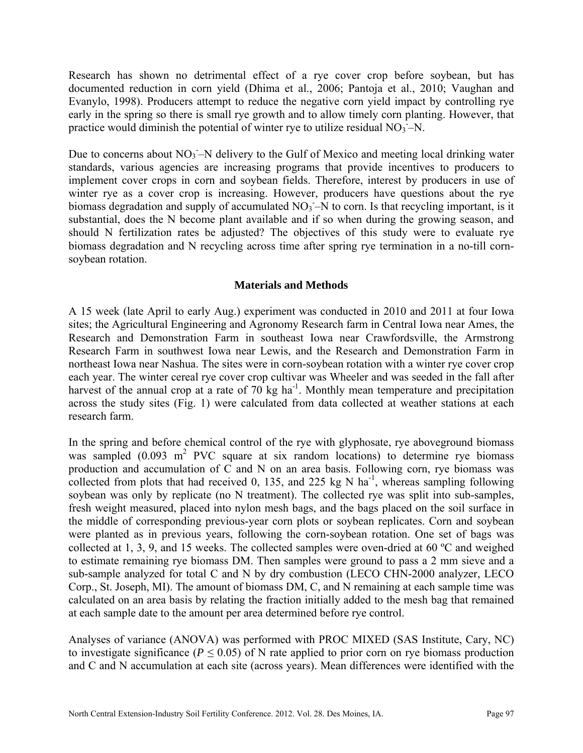Research has shown no detrimental effect of a rye cover crop before soybean, but has documented reduction in corn yield (Dhima et al., 2006; Pantoja et al., 2010; Vaughan and Evanylo, 1998). Producers attempt to reduce the negative corn yield impact by controlling rye early in the spring so there is small rye growth and to allow timely corn planting. However, that practice would diminish the potential of winter rye to utilize residual  $NO<sub>3</sub> - N$ .

Due to concerns about  $NO_3$ -N delivery to the Gulf of Mexico and meeting local drinking water standards, various agencies are increasing programs that provide incentives to producers to implement cover crops in corn and soybean fields. Therefore, interest by producers in use of winter rye as a cover crop is increasing. However, producers have questions about the rye biomass degradation and supply of accumulated  $NO<sub>3</sub> - N$  to corn. Is that recycling important, is it substantial, does the N become plant available and if so when during the growing season, and should N fertilization rates be adjusted? The objectives of this study were to evaluate rye biomass degradation and N recycling across time after spring rye termination in a no-till cornsoybean rotation.

## **Materials and Methods**

A 15 week (late April to early Aug.) experiment was conducted in 2010 and 2011 at four Iowa sites; the Agricultural Engineering and Agronomy Research farm in Central Iowa near Ames, the Research and Demonstration Farm in southeast Iowa near Crawfordsville, the Armstrong Research Farm in southwest Iowa near Lewis, and the Research and Demonstration Farm in northeast Iowa near Nashua. The sites were in corn-soybean rotation with a winter rye cover crop each year. The winter cereal rye cover crop cultivar was Wheeler and was seeded in the fall after harvest of the annual crop at a rate of  $70 \text{ kg}$  ha<sup>-1</sup>. Monthly mean temperature and precipitation across the study sites (Fig. 1) were calculated from data collected at weather stations at each research farm.

In the spring and before chemical control of the rye with glyphosate, rye aboveground biomass was sampled  $(0.093 \text{ m}^2 \text{ PVC}$  square at six random locations) to determine rye biomass production and accumulation of C and N on an area basis. Following corn, rye biomass was collected from plots that had received 0, 135, and 225 kg N ha<sup>-1</sup>, whereas sampling following soybean was only by replicate (no N treatment). The collected rye was split into sub-samples, fresh weight measured, placed into nylon mesh bags, and the bags placed on the soil surface in the middle of corresponding previous-year corn plots or soybean replicates. Corn and soybean were planted as in previous years, following the corn-soybean rotation. One set of bags was collected at 1, 3, 9, and 15 weeks. The collected samples were oven-dried at 60 ºC and weighed to estimate remaining rye biomass DM. Then samples were ground to pass a 2 mm sieve and a sub-sample analyzed for total C and N by dry combustion (LECO CHN-2000 analyzer, LECO Corp., St. Joseph, MI). The amount of biomass DM, C, and N remaining at each sample time was calculated on an area basis by relating the fraction initially added to the mesh bag that remained at each sample date to the amount per area determined before rye control.

Analyses of variance (ANOVA) was performed with PROC MIXED (SAS Institute, Cary, NC) to investigate significance ( $P \le 0.05$ ) of N rate applied to prior corn on rye biomass production and C and N accumulation at each site (across years). Mean differences were identified with the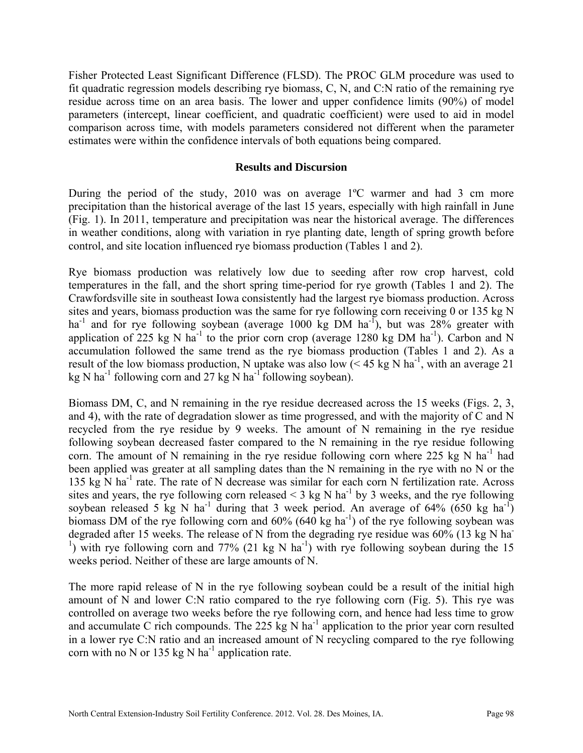Fisher Protected Least Significant Difference (FLSD). The PROC GLM procedure was used to fit quadratic regression models describing rye biomass, C, N, and C:N ratio of the remaining rye residue across time on an area basis. The lower and upper confidence limits (90%) of model parameters (intercept, linear coefficient, and quadratic coefficient) were used to aid in model comparison across time, with models parameters considered not different when the parameter estimates were within the confidence intervals of both equations being compared.

## **Results and Discursion**

During the period of the study, 2010 was on average 1ºC warmer and had 3 cm more precipitation than the historical average of the last 15 years, especially with high rainfall in June (Fig. 1). In 2011, temperature and precipitation was near the historical average. The differences in weather conditions, along with variation in rye planting date, length of spring growth before control, and site location influenced rye biomass production (Tables 1 and 2).

Rye biomass production was relatively low due to seeding after row crop harvest, cold temperatures in the fall, and the short spring time-period for rye growth (Tables 1 and 2). The Crawfordsville site in southeast Iowa consistently had the largest rye biomass production. Across sites and years, biomass production was the same for rye following corn receiving 0 or 135 kg N ha<sup>-1</sup> and for rye following soybean (average 1000 kg DM ha<sup>-1</sup>), but was 28% greater with application of 225 kg N ha<sup>-1</sup> to the prior corn crop (average 1280 kg DM ha<sup>-1</sup>). Carbon and N accumulation followed the same trend as the rye biomass production (Tables 1 and 2). As a result of the low biomass production, N uptake was also low  $(< 45 \text{ kg N ha}^{-1}$ , with an average 21 kg N ha<sup>-1</sup> following corn and 27 kg N ha<sup>-1</sup> following soybean).

Biomass DM, C, and N remaining in the rye residue decreased across the 15 weeks (Figs. 2, 3, and 4), with the rate of degradation slower as time progressed, and with the majority of C and N recycled from the rye residue by 9 weeks. The amount of N remaining in the rye residue following soybean decreased faster compared to the N remaining in the rye residue following corn. The amount of N remaining in the rye residue following corn where 225 kg N  $ha^{-1}$  had been applied was greater at all sampling dates than the N remaining in the rye with no N or the 135 kg N ha<sup>-1</sup> rate. The rate of N decrease was similar for each corn N fertilization rate. Across sites and years, the rye following corn released  $\leq$  3 kg N ha<sup>-1</sup> by 3 weeks, and the rye following soybean released 5 kg N ha<sup>-1</sup> during that 3 week period. An average of 64% (650 kg ha<sup>-1</sup>) biomass DM of the rye following corn and  $60\%$  (640 kg ha<sup>-1</sup>) of the rye following soybean was degraded after 15 weeks. The release of N from the degrading rye residue was 60% (13 kg N ha-<sup>1</sup>) with rye following corn and 77% (21 kg N ha<sup>-1</sup>) with rye following soybean during the 15 weeks period. Neither of these are large amounts of N.

The more rapid release of N in the rye following soybean could be a result of the initial high amount of N and lower C:N ratio compared to the rye following corn (Fig. 5). This rye was controlled on average two weeks before the rye following corn, and hence had less time to grow and accumulate C rich compounds. The 225 kg N ha<sup>-1</sup> application to the prior year corn resulted in a lower rye C:N ratio and an increased amount of N recycling compared to the rye following corn with no N or 135 kg N ha<sup>-1</sup> application rate.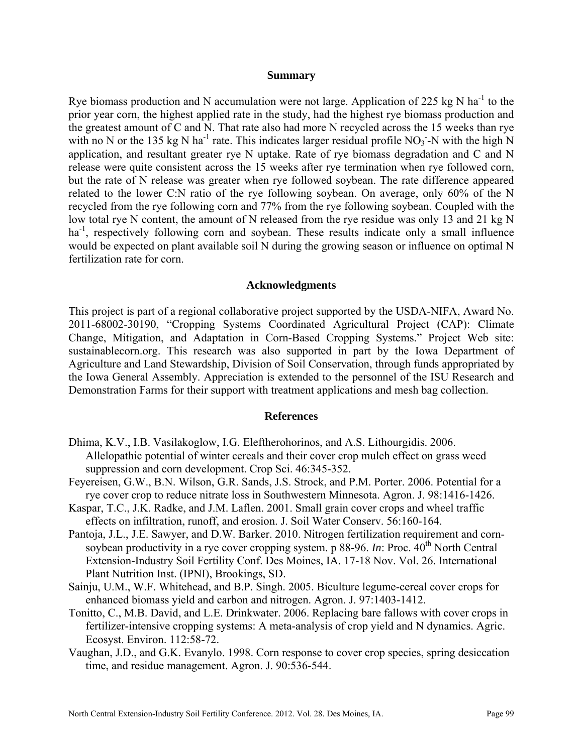#### **Summary**

Rye biomass production and N accumulation were not large. Application of 225 kg N ha<sup>-1</sup> to the prior year corn, the highest applied rate in the study, had the highest rye biomass production and the greatest amount of C and N. That rate also had more N recycled across the 15 weeks than rye with no N or the 135 kg N ha<sup>-1</sup> rate. This indicates larger residual profile  $NO<sub>3</sub>$ -N with the high N application, and resultant greater rye N uptake. Rate of rye biomass degradation and C and N release were quite consistent across the 15 weeks after rye termination when rye followed corn, but the rate of N release was greater when rye followed soybean. The rate difference appeared related to the lower C:N ratio of the rye following soybean. On average, only 60% of the N recycled from the rye following corn and 77% from the rye following soybean. Coupled with the low total rye N content, the amount of N released from the rye residue was only 13 and 21 kg N ha<sup>-1</sup>, respectively following corn and soybean. These results indicate only a small influence would be expected on plant available soil N during the growing season or influence on optimal N fertilization rate for corn.

### **Acknowledgments**

This project is part of a regional collaborative project supported by the USDA-NIFA, Award No. 2011-68002-30190, "Cropping Systems Coordinated Agricultural Project (CAP): Climate Change, Mitigation, and Adaptation in Corn-Based Cropping Systems." Project Web site: sustainablecorn.org. This research was also supported in part by the Iowa Department of Agriculture and Land Stewardship, Division of Soil Conservation, through funds appropriated by the Iowa General Assembly. Appreciation is extended to the personnel of the ISU Research and Demonstration Farms for their support with treatment applications and mesh bag collection.

## **References**

- Dhima, K.V., I.B. Vasilakoglow, I.G. Eleftherohorinos, and A.S. Lithourgidis. 2006. Allelopathic potential of winter cereals and their cover crop mulch effect on grass weed suppression and corn development. Crop Sci. 46:345-352.
- Feyereisen, G.W., B.N. Wilson, G.R. Sands, J.S. Strock, and P.M. Porter. 2006. Potential for a rye cover crop to reduce nitrate loss in Southwestern Minnesota. Agron. J. 98:1416-1426.
- Kaspar, T.C., J.K. Radke, and J.M. Laflen. 2001. Small grain cover crops and wheel traffic effects on infiltration, runoff, and erosion. J. Soil Water Conserv. 56:160-164.
- Pantoja, J.L., J.E. Sawyer, and D.W. Barker. 2010. Nitrogen fertilization requirement and cornsoybean productivity in a rye cover cropping system. p 88-96. *In*: Proc.  $40^{th}$  North Central Extension-Industry Soil Fertility Conf. Des Moines, IA. 17-18 Nov. Vol. 26. International Plant Nutrition Inst. (IPNI), Brookings, SD.
- Sainju, U.M., W.F. Whitehead, and B.P. Singh. 2005. Biculture legume-cereal cover crops for enhanced biomass yield and carbon and nitrogen. Agron. J. 97:1403-1412.
- Tonitto, C., M.B. David, and L.E. Drinkwater. 2006. Replacing bare fallows with cover crops in fertilizer-intensive cropping systems: A meta-analysis of crop yield and N dynamics. Agric. Ecosyst. Environ. 112:58-72.
- Vaughan, J.D., and G.K. Evanylo. 1998. Corn response to cover crop species, spring desiccation time, and residue management. Agron. J. 90:536-544.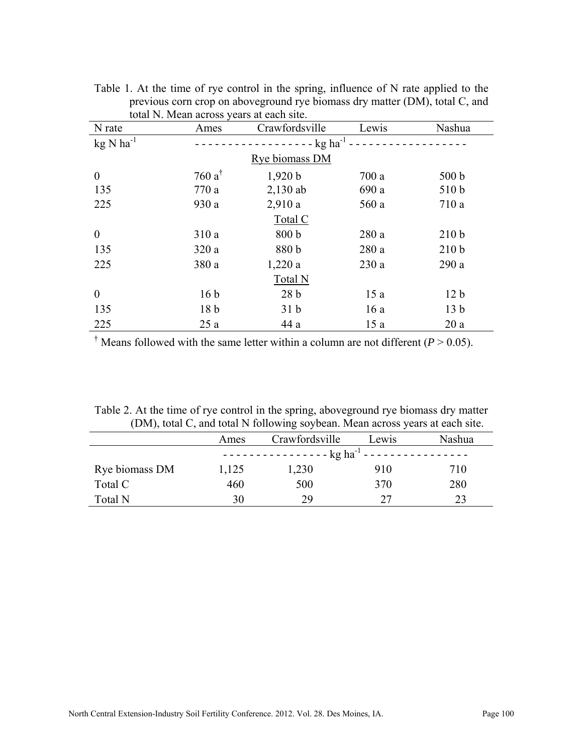| N rate                  | Ames                          | total IV. Infoan across yours at each site.<br>Crawfordsville | Lewis | Nashua           |  |  |  |
|-------------------------|-------------------------------|---------------------------------------------------------------|-------|------------------|--|--|--|
| $kg$ N ha <sup>-1</sup> | $- - - -$ kg ha <sup>-1</sup> |                                                               |       |                  |  |  |  |
| Rye biomass DM          |                               |                                                               |       |                  |  |  |  |
| $\theta$                | 760 $a^{\dagger}$             | 1,920 b                                                       | 700a  | 500 b            |  |  |  |
| 135                     | 770a                          | $2,130$ ab                                                    | 690 a | 510 b            |  |  |  |
| 225                     | 930a                          | 2,910a                                                        | 560 a | 710a             |  |  |  |
| Total C                 |                               |                                                               |       |                  |  |  |  |
| $\theta$                | 310a                          | 800 b                                                         | 280a  | 210 <sub>b</sub> |  |  |  |
| 135                     | 320a                          | 880 b                                                         | 280a  | 210 <sub>b</sub> |  |  |  |
| 225                     | 380a                          | 1,220a                                                        | 230a  | 290a             |  |  |  |
| Total N                 |                               |                                                               |       |                  |  |  |  |
| $\theta$                | 16 <sub>b</sub>               | 28 <sub>b</sub>                                               | 15a   | 12 <sub>b</sub>  |  |  |  |
| 135                     | 18 <sub>b</sub>               | 31 <sub>b</sub>                                               | 16a   | 13 <sub>b</sub>  |  |  |  |
| 225                     | 25a                           | 44 a                                                          | 15a   | 20a              |  |  |  |

Table 1. At the time of rye control in the spring, influence of N rate applied to the previous corn crop on aboveground rye biomass dry matter (DM), total C, and total N. Mean across years at each site.

<sup> $\dagger$ </sup> Means followed with the same letter within a column are not different ( $P > 0.05$ ).

Table 2. At the time of rye control in the spring, aboveground rye biomass dry matter (DM), total C, and total N following soybean. Mean across years at each site.

|                | Ames                                                                                        | Crawfordsville | Lewis | Nashua |  |
|----------------|---------------------------------------------------------------------------------------------|----------------|-------|--------|--|
|                | $\frac{1}{2}$ - - - - - - - - - - - - - - kg ha <sup>-1</sup> - - - - - - - - - - - - - - - |                |       |        |  |
| Rye biomass DM | 1,125                                                                                       | 1,230          | 910   | 710    |  |
| Total C        | 460                                                                                         | 500            | 370   | 280    |  |
| Total N        | 30                                                                                          | 29             | 27    | 23     |  |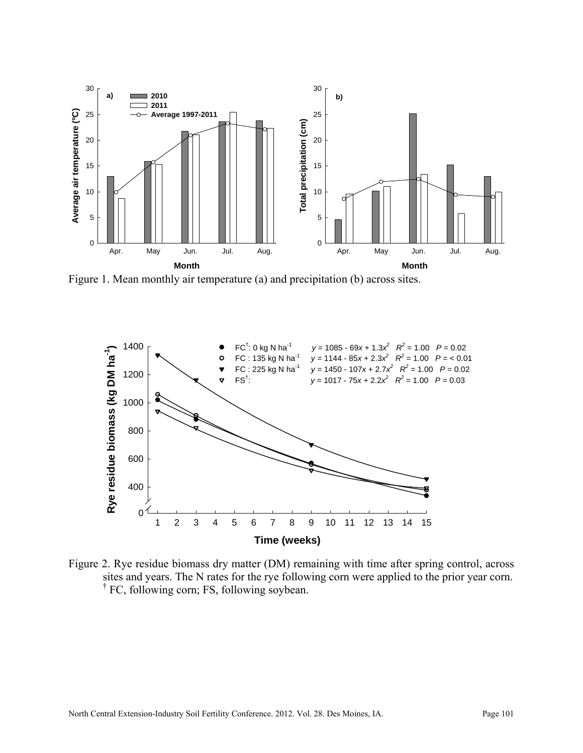

Figure 1. Mean monthly air temperature (a) and precipitation (b) across sites.



Figure 2. Rye residue biomass dry matter (DM) remaining with time after spring control, across sites and years. The N rates for the rye following corn were applied to the prior year corn. <sup>†</sup> FC, following corn; FS, following soybean.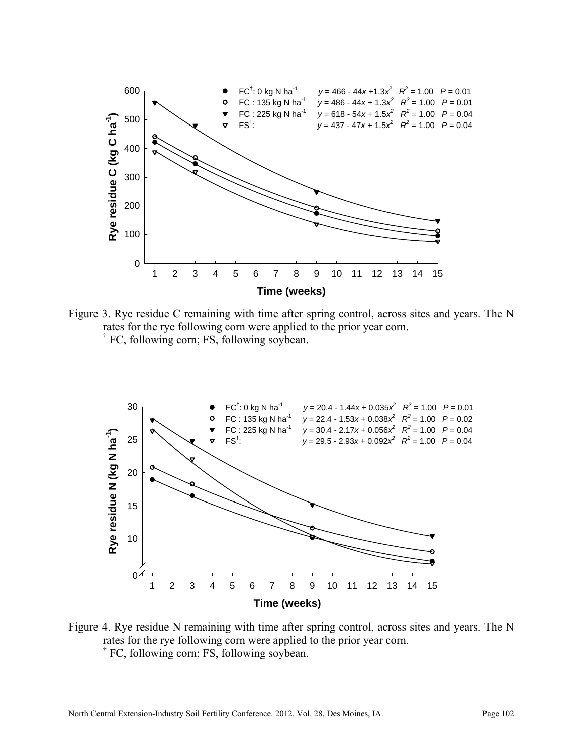

Figure 3. Rye residue C remaining with time after spring control, across sites and years. The N rates for the rye following corn were applied to the prior year corn. <sup>†</sup> FC, following corn; FS, following soybean.



Figure 4. Rye residue N remaining with time after spring control, across sites and years. The N rates for the rye following corn were applied to the prior year corn. <sup>†</sup> FC, following corn; FS, following soybean.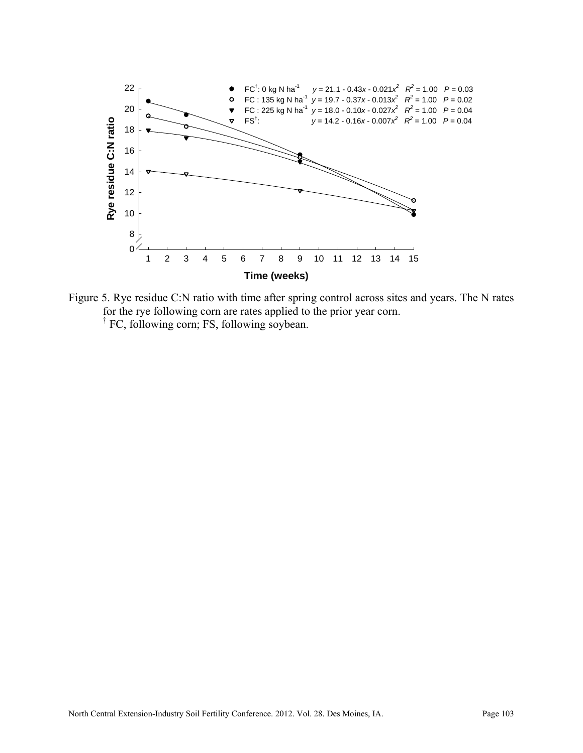

Figure 5. Rye residue C:N ratio with time after spring control across sites and years. The N rates for the rye following corn are rates applied to the prior year corn. <sup>†</sup> FC, following corn; FS, following soybean.